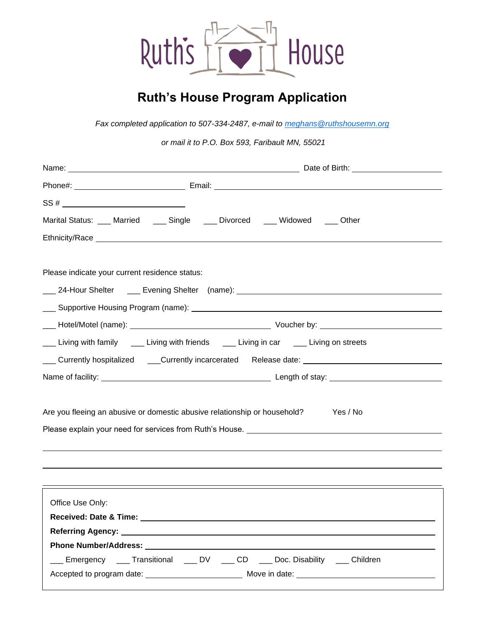

## **Ruth's House Program Application**

*Fax completed application to 507-334-2487, e-mail to [meghans@ruthshousemn.org](mailto:meghans@ruthshousemn.org)*

*or mail it to P.O. Box 593, Faribault MN, 55021*

| $SS # \_$                                                                                |                                                                                                                   |  |  |  |
|------------------------------------------------------------------------------------------|-------------------------------------------------------------------------------------------------------------------|--|--|--|
| Marital Status: ___ Married ____ Single ____ Divorced ___ Widowed ___ Other              |                                                                                                                   |  |  |  |
|                                                                                          |                                                                                                                   |  |  |  |
|                                                                                          |                                                                                                                   |  |  |  |
| Please indicate your current residence status:                                           |                                                                                                                   |  |  |  |
|                                                                                          |                                                                                                                   |  |  |  |
|                                                                                          |                                                                                                                   |  |  |  |
|                                                                                          |                                                                                                                   |  |  |  |
| Living with family _____ Living with friends _____ Living in car _____ Living on streets |                                                                                                                   |  |  |  |
|                                                                                          | Lackentry hospitalized and Currently incarcerated Release date: Currently hospitalized and Currently hospitalized |  |  |  |
|                                                                                          |                                                                                                                   |  |  |  |
| Are you fleeing an abusive or domestic abusive relationship or household?                | Yes / No                                                                                                          |  |  |  |
|                                                                                          |                                                                                                                   |  |  |  |
|                                                                                          |                                                                                                                   |  |  |  |
|                                                                                          |                                                                                                                   |  |  |  |
|                                                                                          |                                                                                                                   |  |  |  |
| Office Use Only:                                                                         |                                                                                                                   |  |  |  |
|                                                                                          |                                                                                                                   |  |  |  |
|                                                                                          |                                                                                                                   |  |  |  |
|                                                                                          |                                                                                                                   |  |  |  |
| ___ Emergency ___ Transitional ___ DV ___ CD ___ Doc. Disability ___ Children            |                                                                                                                   |  |  |  |
|                                                                                          |                                                                                                                   |  |  |  |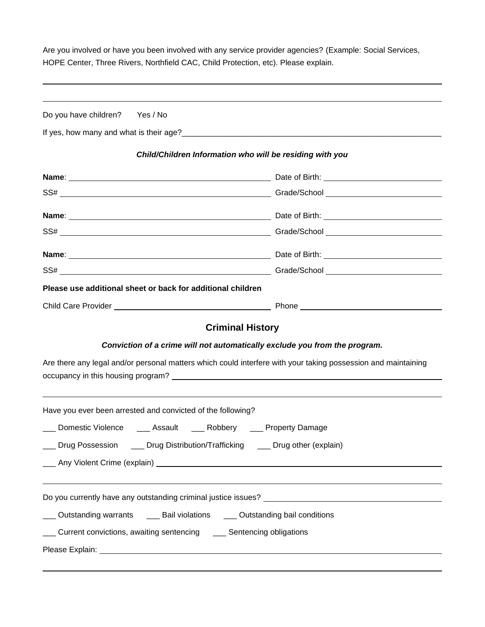Are you involved or have you been involved with any service provider agencies? (Example: Social Services, HOPE Center, Three Rivers, Northfield CAC, Child Protection, etc). Please explain.

| Do you have children? Yes / No |                                                                    |                                                                                                                                                                                                                                                                                                                                                                                                                               |
|--------------------------------|--------------------------------------------------------------------|-------------------------------------------------------------------------------------------------------------------------------------------------------------------------------------------------------------------------------------------------------------------------------------------------------------------------------------------------------------------------------------------------------------------------------|
|                                |                                                                    |                                                                                                                                                                                                                                                                                                                                                                                                                               |
|                                |                                                                    | Child/Children Information who will be residing with you                                                                                                                                                                                                                                                                                                                                                                      |
|                                |                                                                    |                                                                                                                                                                                                                                                                                                                                                                                                                               |
|                                |                                                                    |                                                                                                                                                                                                                                                                                                                                                                                                                               |
|                                |                                                                    |                                                                                                                                                                                                                                                                                                                                                                                                                               |
|                                |                                                                    |                                                                                                                                                                                                                                                                                                                                                                                                                               |
|                                |                                                                    |                                                                                                                                                                                                                                                                                                                                                                                                                               |
|                                |                                                                    |                                                                                                                                                                                                                                                                                                                                                                                                                               |
|                                | Please use additional sheet or back for additional children        |                                                                                                                                                                                                                                                                                                                                                                                                                               |
|                                |                                                                    |                                                                                                                                                                                                                                                                                                                                                                                                                               |
|                                |                                                                    | <b>Criminal History</b>                                                                                                                                                                                                                                                                                                                                                                                                       |
|                                |                                                                    | Conviction of a crime will not automatically exclude you from the program.<br>Are there any legal and/or personal matters which could interfere with your taking possession and maintaining<br>occupancy in this housing program? Letter and the control of the control of the control of the control of the control of the control of the control of the control of the control of the control of the control of the control |
|                                | Have you ever been arrested and convicted of the following?        | ,我们也不能会有一个人的事情。""我们的人们是不是我们的人,我们也不能会有一个人的人,我们也不能会有一个人的人,我们也不能会有一个人的人,我们也不能会有一个人的人                                                                                                                                                                                                                                                                                                                                             |
|                                |                                                                    | ___ Domestic Violence ____ Assault ____ Robbery ____ Property Damage                                                                                                                                                                                                                                                                                                                                                          |
|                                |                                                                    | ___ Drug Possession ____ Drug Distribution/Trafficking ____ Drug other (explain)                                                                                                                                                                                                                                                                                                                                              |
|                                |                                                                    | Any Violent Crime (explain) Later and the control of the control of the control of the control of the control of the control of the control of the control of the control of the control of the control of the control of the                                                                                                                                                                                                 |
|                                |                                                                    |                                                                                                                                                                                                                                                                                                                                                                                                                               |
|                                |                                                                    | Outstanding warrants _____ Bail violations _____ Outstanding bail conditions                                                                                                                                                                                                                                                                                                                                                  |
|                                | Current convictions, awaiting sentencing __ Sentencing obligations |                                                                                                                                                                                                                                                                                                                                                                                                                               |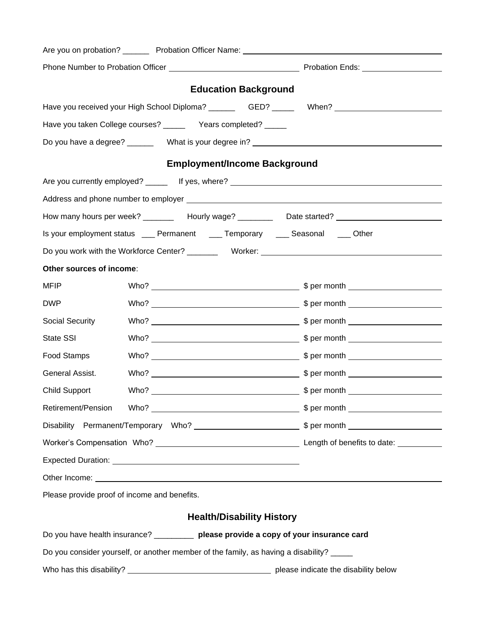|                                                                                       |  | <b>Education Background</b>                                                              |                                                                                                                                                                                                                                      |  |  |  |  |
|---------------------------------------------------------------------------------------|--|------------------------------------------------------------------------------------------|--------------------------------------------------------------------------------------------------------------------------------------------------------------------------------------------------------------------------------------|--|--|--|--|
|                                                                                       |  |                                                                                          | Have you received your High School Diploma? ____________GED? __________When? _______________________                                                                                                                                 |  |  |  |  |
|                                                                                       |  | Have you taken College courses? _________ Years completed? ______                        |                                                                                                                                                                                                                                      |  |  |  |  |
| Do you have a degree? __________ What is your degree in? _______________________      |  |                                                                                          |                                                                                                                                                                                                                                      |  |  |  |  |
| <b>Employment/Income Background</b>                                                   |  |                                                                                          |                                                                                                                                                                                                                                      |  |  |  |  |
|                                                                                       |  |                                                                                          | Are you currently employed? _______ If yes, where? ______________________________                                                                                                                                                    |  |  |  |  |
|                                                                                       |  |                                                                                          |                                                                                                                                                                                                                                      |  |  |  |  |
|                                                                                       |  |                                                                                          | How many hours per week? __________ Hourly wage? __________ Date started?                                                                                                                                                            |  |  |  |  |
|                                                                                       |  | Is your employment status ____ Permanent ____ Temporary ____ Seasonal ____ Other         |                                                                                                                                                                                                                                      |  |  |  |  |
|                                                                                       |  |                                                                                          |                                                                                                                                                                                                                                      |  |  |  |  |
| Other sources of income:                                                              |  |                                                                                          |                                                                                                                                                                                                                                      |  |  |  |  |
| <b>MFIP</b>                                                                           |  |                                                                                          |                                                                                                                                                                                                                                      |  |  |  |  |
| <b>DWP</b>                                                                            |  |                                                                                          |                                                                                                                                                                                                                                      |  |  |  |  |
| Social Security                                                                       |  |                                                                                          |                                                                                                                                                                                                                                      |  |  |  |  |
| State SSI                                                                             |  |                                                                                          |                                                                                                                                                                                                                                      |  |  |  |  |
| Food Stamps                                                                           |  |                                                                                          |                                                                                                                                                                                                                                      |  |  |  |  |
| General Assist.                                                                       |  |                                                                                          |                                                                                                                                                                                                                                      |  |  |  |  |
| <b>Child Support</b>                                                                  |  |                                                                                          |                                                                                                                                                                                                                                      |  |  |  |  |
| Retirement/Pension                                                                    |  |                                                                                          |                                                                                                                                                                                                                                      |  |  |  |  |
|                                                                                       |  |                                                                                          |                                                                                                                                                                                                                                      |  |  |  |  |
|                                                                                       |  |                                                                                          |                                                                                                                                                                                                                                      |  |  |  |  |
|                                                                                       |  |                                                                                          |                                                                                                                                                                                                                                      |  |  |  |  |
|                                                                                       |  |                                                                                          | Other Income: <u>example and the set of the set of the set of the set of the set of the set of the set of the set of the set of the set of the set of the set of the set of the set of the set of the set of the set of the set </u> |  |  |  |  |
| Please provide proof of income and benefits.                                          |  |                                                                                          |                                                                                                                                                                                                                                      |  |  |  |  |
| <b>Health/Disability History</b>                                                      |  |                                                                                          |                                                                                                                                                                                                                                      |  |  |  |  |
| Do you have health insurance? __________ please provide a copy of your insurance card |  |                                                                                          |                                                                                                                                                                                                                                      |  |  |  |  |
|                                                                                       |  | Do you consider yourself, or another member of the family, as having a disability? _____ |                                                                                                                                                                                                                                      |  |  |  |  |
|                                                                                       |  |                                                                                          |                                                                                                                                                                                                                                      |  |  |  |  |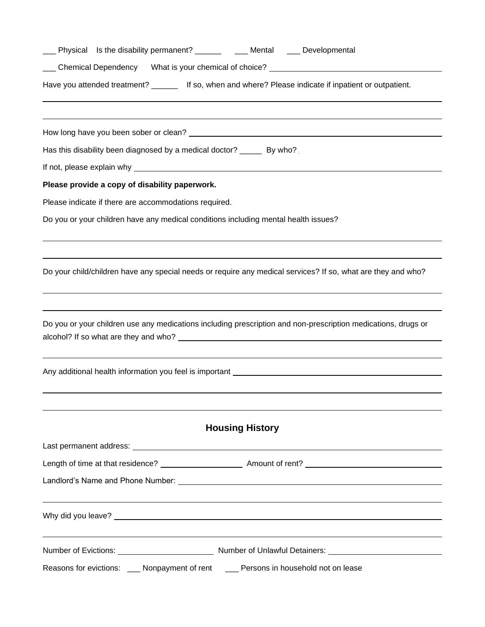| Have you attended treatment? __________ If so, when and where? Please indicate if inpatient or outpatient.                                                                                                                    |
|-------------------------------------------------------------------------------------------------------------------------------------------------------------------------------------------------------------------------------|
|                                                                                                                                                                                                                               |
| Has this disability been diagnosed by a medical doctor? ______ By who?                                                                                                                                                        |
|                                                                                                                                                                                                                               |
| Please provide a copy of disability paperwork.                                                                                                                                                                                |
| Please indicate if there are accommodations required.                                                                                                                                                                         |
| Do you or your children have any medical conditions including mental health issues?                                                                                                                                           |
| Do your child/children have any special needs or require any medical services? If so, what are they and who?                                                                                                                  |
| Do you or your children use any medications including prescription and non-prescription medications, drugs or                                                                                                                 |
| Any additional health information you feel is important example and any of the state of the state of the state of the state of the state of the state of the state of the state of the state of the state of the state of the |
| <b>Housing History</b>                                                                                                                                                                                                        |
|                                                                                                                                                                                                                               |
|                                                                                                                                                                                                                               |
|                                                                                                                                                                                                                               |
|                                                                                                                                                                                                                               |
|                                                                                                                                                                                                                               |
| Reasons for evictions: ___ Nonpayment of rent ___ Persons in household not on lease                                                                                                                                           |